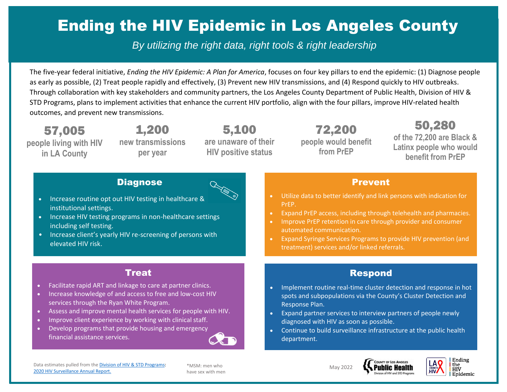# Ending the HIV Epidemic in Los Angeles County

*By utilizing the right data, right tools & right leadership*

The five-year federal initiative, *Ending the HIV Epidemic: A Plan for America*, focuses on four key pillars to end the epidemic: (1) Diagnose people as early as possible, (2) Treat people rapidly and effectively, (3) Prevent new HIV transmissions, and (4) Respond quickly to HIV outbreaks. Through collaboration with key stakeholders and community partners, the Los Angeles County Department of Public Health, Division of HIV & STD Programs, plans to implement activities that enhance the current HIV portfolio, align with the four pillars, improve HIV-related health outcomes, and prevent new transmissions.

57,005 **people living with HIV in LA County**

[2020 HIV Surveillance Annual Report.](http://publichealth.lacounty.gov/dhsp/Reports/HIV/2020AnnualHIVSurveillanceReportUpdated9-2021_fig1fig2update.pdf)

1,200 **new transmissions per year**

5,100 **are unaware of their HIV positive status**

72,200 **people would benefit from PrEP**

50,280 **of the 72,200 are Black & Latinx people who would benefit from PrEP**

#### **Diagnose**



- Increase routine opt out HIV testing in healthcare & institutional settings.
- Increase HIV testing programs in non-healthcare settings including self testing.
- Increase client's yearly HIV re-screening of persons with elevated HIV risk.

#### Treat

- Facilitate rapid ART and linkage to care at partner clinics.
- Increase knowledge of and access to free and low-cost HIV services through the Ryan White Program.
- Assess and improve mental health services for people with HIV.
- Improve client experience by working with clinical staff.
- Develop programs that provide housing and emergency financial assistance services.

Data estimates pulled from th[e Division of HIV & STD Programs:](http://publichealth.lacounty.gov/dhsp/)

\*MSM: men who have sex with men

#### Prevent

- Utilize data to better identify and link persons with indication for PrEP.
- Expand PrEP access, including through telehealth and pharmacies.
- Improve PrEP retention in care through provider and consumer automated communication.
- Expand Syringe Services Programs to provide HIV prevention (and treatment) services and/or linked referrals.

#### Respond

- Implement routine real-time cluster detection and response in hot spots and subpopulations via the County's Cluster Detection and Response Plan.
- Expand partner services to interview partners of people newly diagnosed with HIV as soon as possible.
- Continue to build surveillance infrastructure at the public health department.